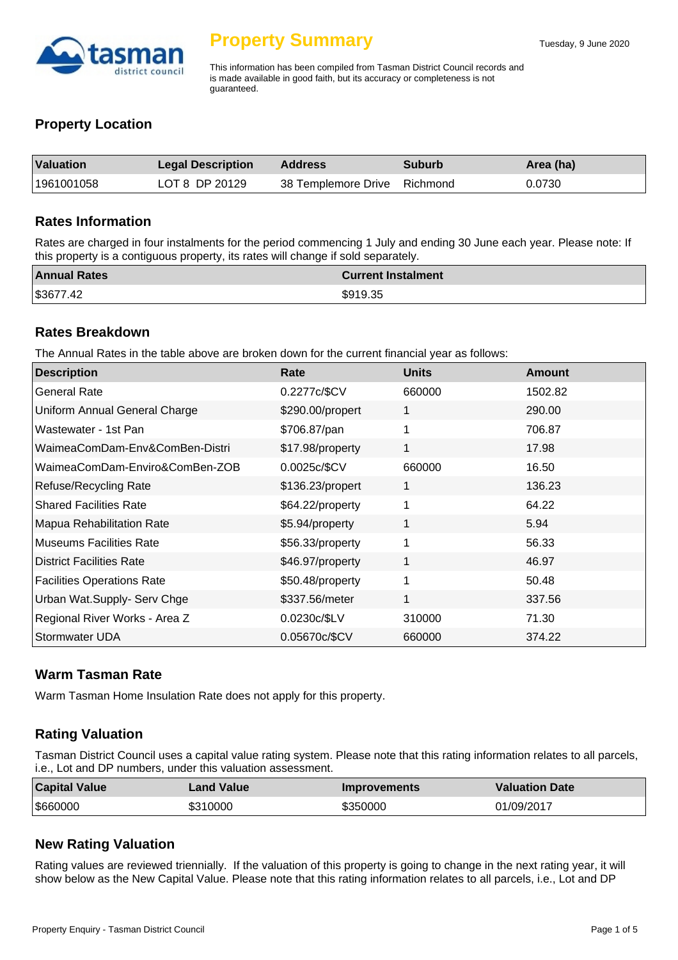

This information has been compiled from Tasman District Council records and is made available in good faith, but its accuracy or completeness is not guaranteed.

## **Property Location**

| <b>Valuation</b> | <b>Legal Description</b> | Address                      | <b>Suburb</b> | Area (ha) |
|------------------|--------------------------|------------------------------|---------------|-----------|
| 1961001058       | LOT 8 DP 20129           | 38 Templemore Drive Richmond |               | 0.0730    |

#### **Rates Information**

Rates are charged in four instalments for the period commencing 1 July and ending 30 June each year. Please note: If this property is a contiguous property, its rates will change if sold separately.

| <b>Annual Rates</b> | <b>Current Instalment</b> |
|---------------------|---------------------------|
| \$3677.42           | \$919.35                  |

### **Rates Breakdown**

The Annual Rates in the table above are broken down for the current financial year as follows:

| <b>Description</b>                | Rate             | <b>Units</b> | Amount  |
|-----------------------------------|------------------|--------------|---------|
| <b>General Rate</b>               | 0.2277c/\$CV     | 660000       | 1502.82 |
| Uniform Annual General Charge     | \$290.00/propert | 1            | 290.00  |
| Wastewater - 1st Pan              | \$706.87/pan     | 1            | 706.87  |
| WaimeaComDam-Env&ComBen-Distri    | \$17.98/property | 1            | 17.98   |
| WaimeaComDam-Enviro&ComBen-ZOB    | 0.0025c/\$CV     | 660000       | 16.50   |
| Refuse/Recycling Rate             | \$136.23/propert | 1            | 136.23  |
| <b>Shared Facilities Rate</b>     | \$64.22/property | 1            | 64.22   |
| Mapua Rehabilitation Rate         | \$5.94/property  | 1            | 5.94    |
| <b>Museums Facilities Rate</b>    | \$56.33/property | 1            | 56.33   |
| <b>District Facilities Rate</b>   | \$46.97/property | 1            | 46.97   |
| <b>Facilities Operations Rate</b> | \$50.48/property | 1            | 50.48   |
| Urban Wat.Supply- Serv Chge       | \$337.56/meter   | 1            | 337.56  |
| Regional River Works - Area Z     | 0.0230c/\$LV     | 310000       | 71.30   |
| Stormwater UDA                    | 0.05670c/\$CV    | 660000       | 374.22  |

## **Warm Tasman Rate**

Warm Tasman Home Insulation Rate does not apply for this property.

## **Rating Valuation**

Tasman District Council uses a capital value rating system. Please note that this rating information relates to all parcels, i.e., Lot and DP numbers, under this valuation assessment.

| <b>Capital Value</b> | <b>Land Value</b> | <b>Improvements</b> | <b>Valuation Date</b> |
|----------------------|-------------------|---------------------|-----------------------|
| \$660000             | \$310000          | \$350000            | 01/09/2017            |

## **New Rating Valuation**

Rating values are reviewed triennially. If the valuation of this property is going to change in the next rating year, it will show below as the New Capital Value. Please note that this rating information relates to all parcels, i.e., Lot and DP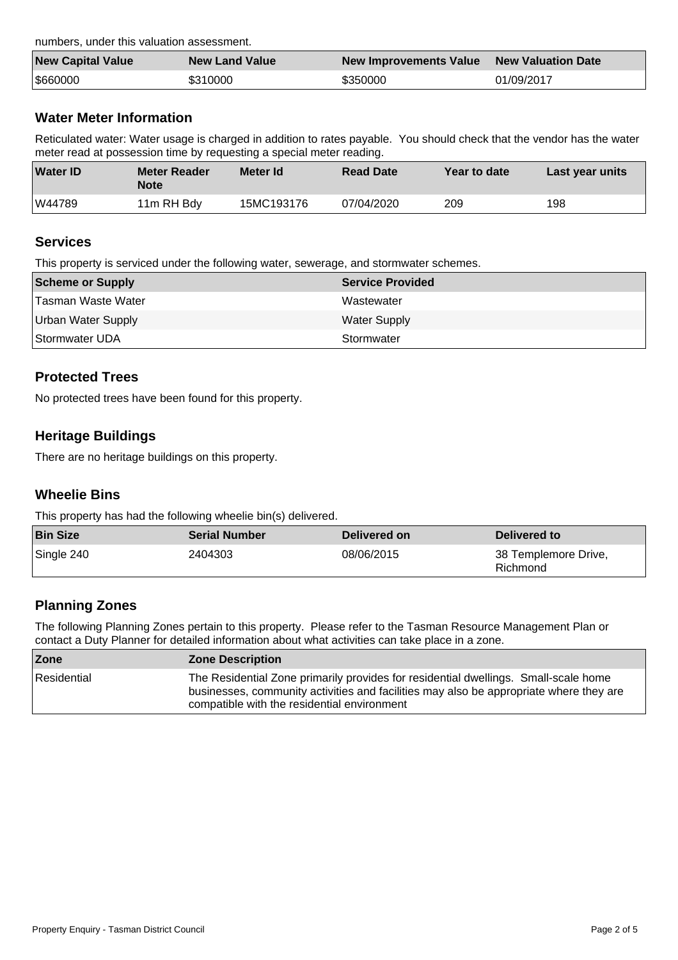numbers, under this valuation assessment.

| <b>New Capital Value</b> | <b>New Land Value</b> | New Improvements Value | <b>New Valuation Date</b> |
|--------------------------|-----------------------|------------------------|---------------------------|
| \$660000                 | \$310000              | \$350000               | 01/09/2017                |

## **Water Meter Information**

Reticulated water: Water usage is charged in addition to rates payable. You should check that the vendor has the water meter read at possession time by requesting a special meter reading.

| <b>Water ID</b> | <b>Meter Reader</b><br>Note | Meter Id   | <b>Read Date</b> | Year to date | Last year units |
|-----------------|-----------------------------|------------|------------------|--------------|-----------------|
| W44789          | 11m RH Bdy                  | 15MC193176 | 07/04/2020       | 209          | 198             |

### **Services**

This property is serviced under the following water, sewerage, and stormwater schemes.

| Scheme or Supply          | <b>Service Provided</b> |
|---------------------------|-------------------------|
| Tasman Waste Water        | Wastewater              |
| <b>Urban Water Supply</b> | <b>Water Supply</b>     |
| Stormwater UDA            | Stormwater              |

## **Protected Trees**

No protected trees have been found for this property.

## **Heritage Buildings**

There are no heritage buildings on this property.

## **Wheelie Bins**

This property has had the following wheelie bin(s) delivered.

| <b>Bin Size</b> | <b>Serial Number</b> | Delivered on | Delivered to                     |
|-----------------|----------------------|--------------|----------------------------------|
| Single 240      | 2404303              | 08/06/2015   | 38 Templemore Drive,<br>Richmond |

## **Planning Zones**

The following Planning Zones pertain to this property. Please refer to the Tasman Resource Management Plan or contact a Duty Planner for detailed information about what activities can take place in a zone.

| Zone        | <b>Zone Description</b>                                                                                                                                                                                                      |
|-------------|------------------------------------------------------------------------------------------------------------------------------------------------------------------------------------------------------------------------------|
| Residential | The Residential Zone primarily provides for residential dwellings. Small-scale home<br>businesses, community activities and facilities may also be appropriate where they are<br>compatible with the residential environment |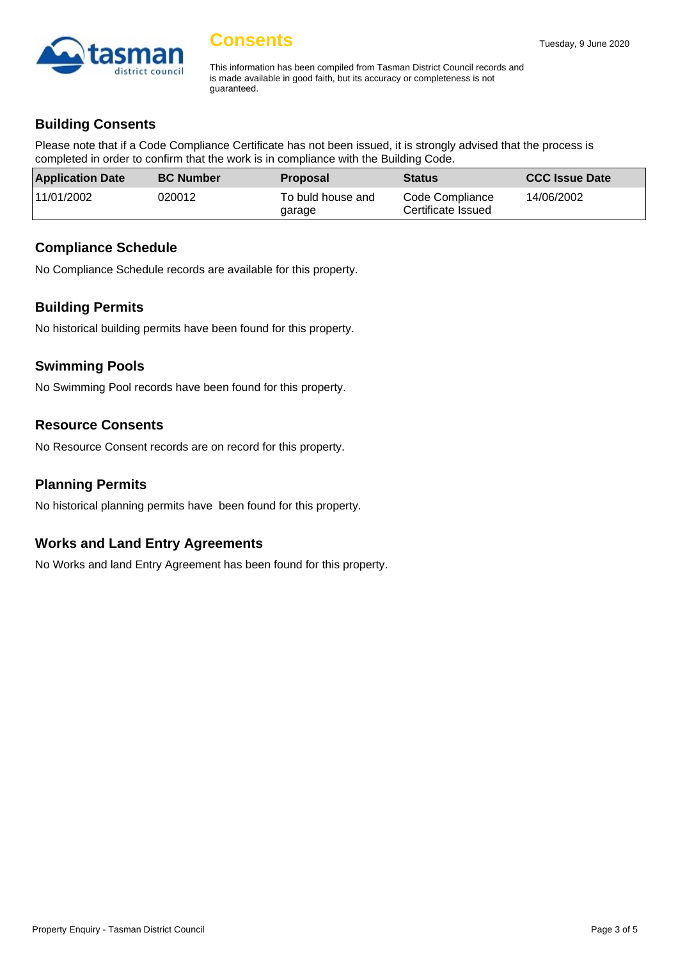

# **Consents**

This information has been compiled from Tasman District Council records and is made available in good faith, but its accuracy or completeness is not guaranteed.

## **Building Consents**

Please note that if a Code Compliance Certificate has not been issued, it is strongly advised that the process is completed in order to confirm that the work is in compliance with the Building Code.

| <b>Application Date</b> | <b>BC Number</b> | <b>Proposal</b>             | <b>Status</b>                         | <b>CCC Issue Date</b> |
|-------------------------|------------------|-----------------------------|---------------------------------------|-----------------------|
| 11/01/2002              | 020012           | To buld house and<br>garage | Code Compliance<br>Certificate Issued | 14/06/2002            |

### **Compliance Schedule**

No Compliance Schedule records are available for this property.

## **Building Permits**

No historical building permits have been found for this property.

## **Swimming Pools**

No Swimming Pool records have been found for this property.

## **Resource Consents**

No Resource Consent records are on record for this property.

## **Planning Permits**

No historical planning permits have been found for this property.

## **Works and Land Entry Agreements**

No Works and land Entry Agreement has been found for this property.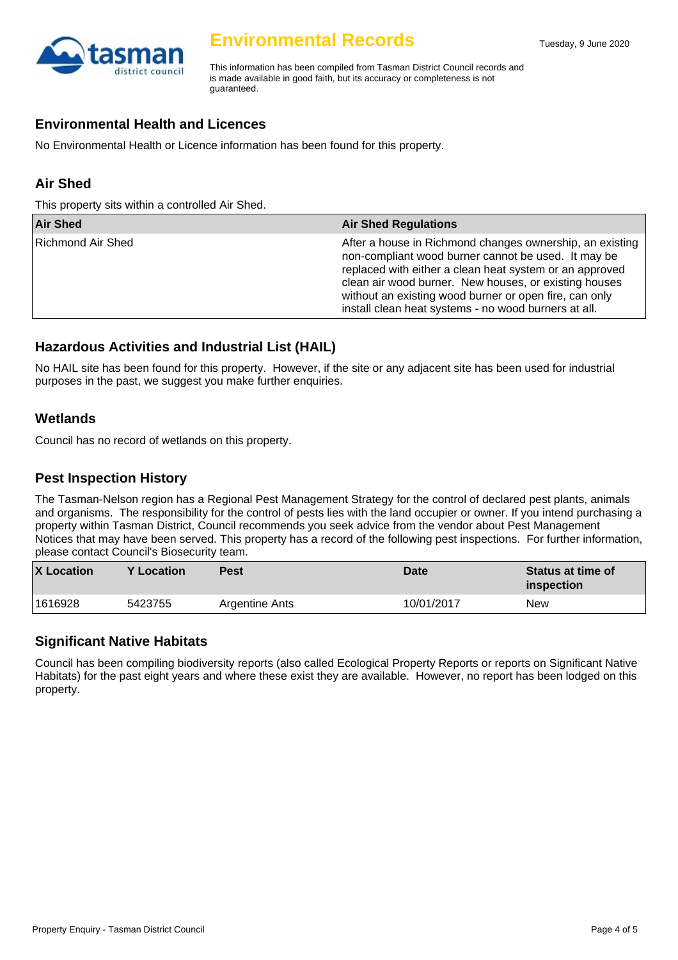

# **Environmental Records**

This information has been compiled from Tasman District Council records and is made available in good faith, but its accuracy or completeness is not guaranteed.

### **Environmental Health and Licences**

No Environmental Health or Licence information has been found for this property.

## **Air Shed**

This property sits within a controlled Air Shed.

| <b>Air Shed</b>   | <b>Air Shed Regulations</b>                                                                                                                                                                                                                                                                                                                           |
|-------------------|-------------------------------------------------------------------------------------------------------------------------------------------------------------------------------------------------------------------------------------------------------------------------------------------------------------------------------------------------------|
| Richmond Air Shed | After a house in Richmond changes ownership, an existing<br>non-compliant wood burner cannot be used. It may be<br>replaced with either a clean heat system or an approved<br>clean air wood burner. New houses, or existing houses<br>without an existing wood burner or open fire, can only<br>install clean heat systems - no wood burners at all. |

## **Hazardous Activities and Industrial List (HAIL)**

No HAIL site has been found for this property. However, if the site or any adjacent site has been used for industrial purposes in the past, we suggest you make further enquiries.

### **Wetlands**

Council has no record of wetlands on this property.

#### **Pest Inspection History**

The Tasman-Nelson region has a Regional Pest Management Strategy for the control of declared pest plants, animals and organisms. The responsibility for the control of pests lies with the land occupier or owner. If you intend purchasing a property within Tasman District, Council recommends you seek advice from the vendor about Pest Management Notices that may have been served. This property has a record of the following pest inspections. For further information, please contact Council's Biosecurity team.

| <b>X</b> Location | <b>Y</b> Location | Pest           | Date       | <b>Status at time of</b><br>inspection |
|-------------------|-------------------|----------------|------------|----------------------------------------|
| 1616928           | 5423755           | Argentine Ants | 10/01/2017 | <b>New</b>                             |

#### **Significant Native Habitats**

Council has been compiling biodiversity reports (also called Ecological Property Reports or reports on Significant Native Habitats) for the past eight years and where these exist they are available. However, no report has been lodged on this property.